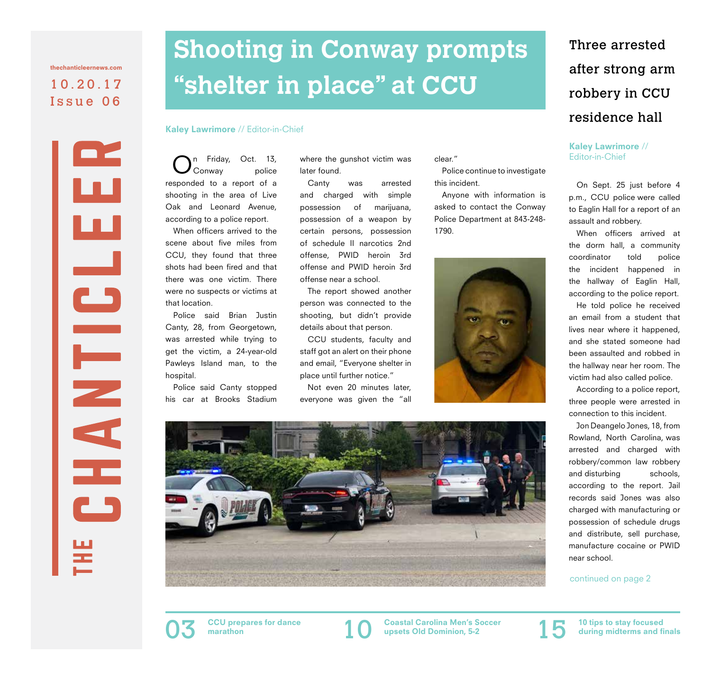10.20.17 Issue 06 thechanticleernews.com

LS

THE N

Ŧ

# **Shooting in Conway prompts "shelter in place" at CCU**

#### Kaley Lawrimore // Editor-in-Chief

n Friday, Oct. 13,<br>Conway police Conway responded to a report of a shooting in the area of Live Oak and Leonard Avenue, according to a police report.

When officers arrived to the scene about five miles from CCU, they found that three shots had been fired and that there was one victim. There were no suspects or victims at that location.

Police said Brian Justin Canty, 28, from Georgetown, was arrested while trying to get the victim, a 24-year-old Pawleys Island man, to the hospital.

Police said Canty stopped his car at Brooks Stadium

where the gunshot victim was later found.

Canty was arrested and charged with simple possession of marijuana, possession of a weapon by certain persons, possession of schedule II narcotics 2nd offense, PWID heroin 3rd offense and PWID heroin 3rd offense near a school.

The report showed another person was connected to the shooting, but didn't provide details about that person.

CCU students, faculty and staff got an alert on their phone and email, "Everyone shelter in place until further notice."

Not even 20 minutes later, everyone was given the "all clear."

Police continue to investigate this incident.

Anyone with information is asked to contact the Conway Police Department at 843-248- 1790.





# Three arrested after strong arm robbery in CCU residence hall

Kaley Lawrimore // Editor-in-Chief

On Sept. 25 just before 4 p.m., CCU police were called to Eaglin Hall for a report of an assault and robbery.

When officers arrived at the dorm hall, a community coordinator told police the incident happened in the hallway of Eaglin Hall, according to the police report.

He told police he received an email from a student that lives near where it happened, and she stated someone had been assaulted and robbed in the hallway near her room. The victim had also called police.

According to a police report, three people were arrested in connection to this incident.

Jon Deangelo Jones, 18, from Rowland, North Carolina, was arrested and charged with robbery/common law robbery and disturbing schools. according to the report. Jail records said Jones was also charged with manufacturing or possession of schedule drugs and distribute, sell purchase, manufacture cocaine or PWID near school.

continued on page 2



CCU prepares for dance<br>marathon

CCU prepares for dance **the Coastal Carolina Men's Soccer** and the stay focused upsets Old Dominion, 5-2 **10** tips to stay focused upsets Old Dominion, 5-2



during midterms and finals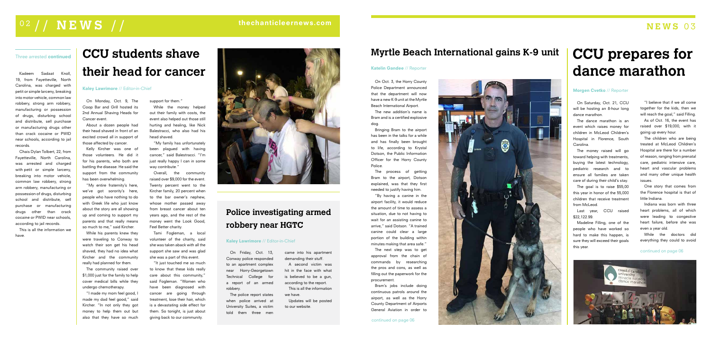# **Police investigating armed robbery near HGTC**

### Kaley Lawrimore // Editor-in-Chief

On Friday, Oct. 13, Conway police responded to an apartment complex near Horry-Georgetown Technical College for a report of an armed robbery.

The police report states when police arrived at University Suites, a victim told them three men

# **Myrtle Beach International gains K-9 unit**

On Oct. 3, the Horry County Police Department announced that the department will now have a new K-9 unit at the Myrtle Beach International Airport. The new addition's name is Bram and is a certified explosive

Bringing Bram to the airport has been in the talks for a while and has finally been brought to life, according to Krystal Dotson, the Public Information Officer for the Horry County

dog. Police.

The process of getting Bram to the airport, Dotson explained, was that they first needed to justify having him. "By having a canine in the airport facility, it would reduce the amount of time to assess a situation, due to not having to wait for an assisting canine to arrive," said Dotson. "A trained canine could clear a large portion of the building within minutes making that area safe." The next step was to get approval from the chain of commands by researching the pros and cons, as well as filling out the paperwork for the

"I believe that if we all come together for the kids, then we will reach the goal," said Filling.

procurement.

### Katelin Gandee // Reporter

Bram's jobs include doing continuous patrols around the airport, as well as the Horry County Department of Airports General Aviation in order to

# **CCU prepares for dance marathon**

### Morgen Cvetko // Reporter

On Saturday, Oct. 21, CCU will be hosting an 8-hour long dance marathon.

The dance marathon is an event which raises money for children in McLeod Children's Hospital in Florence, South Carolina.

The money raised will go toward helping with treatments, buying the latest technology, pediatric research and to ensure all families are taken care of during their child's stay.

The goal is to raise \$55,00 this year in honor of the 55,000 children that receive treatment from McLeod.

Last year, CCU raised \$22,122.99.

"My family has unfortunately been plagued with having cancer," said Balestracci. "I'm just really happy I can in some way contribute.'

> Madeline Filling, one of the people who have worked so hard to make this happen, is sure they will exceed their goals this year.

As of Oct. 16, the event has raised over \$19,000, with it going up every hour.

The children who are being treated at McLeod Children's Hospital are there for a number of reason, ranging from prenatal care, pediatric intensive care, heart and vascular problems and many other unique health issues.

One story that comes from the Florence hospital is that of little Indiana.

Indiana was born with three heart problems, all of which were leading to congestive heart failure, before she was even a year old.

While the doctors did everything they could to avoid

# **CCU students shave their head for cancer**

Kaley Lawrimore // Editor-in-Chief

On Monday, Oct. 9, The Coop Bar and Grill hosted its 2nd Annual Shaving Heads for Cancer event.

About a dozen people had their head shaved in front of an excited crowd all in support of those affected by cancer.

Kelly Kircher was one of those volunteers. He did it for his parents, who both are battling the disease. He said the support from the community has been overwhelming.

"My entire fraternity's here, we've got sorority's here, people who have nothing to do with Greek life who just know about the story are all showing up and coming to support my parents and that really means so much to me," said Kircher.

While his parents knew they were traveling to Conway to watch their son get his head shaved, they had no idea what Kircher and the community really had planned for them.

The community raised over \$1,000 just for the family to help cover medical bills while they undergo chemotherapy.

"I made my mom feel good, I made my dad feel good," said Kircher. "In not only they got money to help them out but also that they have so much support for them."

While the money helped out their family with costs, the event also helped out those still hurting and healing, like Nick Balestracci, who also had his head shaved.

Overall, the community raised over \$9,000 for the event. Twenty percent went to the Kircher family, 20 percent when to the bar owner's nephew, whose mother passed away from breast cancer about ten years ago, and the rest of the money went the Look Good, Feel Better charity.

Tami Fogleman, a local volunteer of the charity, said she was taken aback with all the support she saw and was glad she was a part of this event.

"It just touched me so much to know that these kids really care about this community," said Fogleman. "Women who have been diagnosed with cancer are going through treatment, lose their hair, which is a devastating side effect for them. So tonight, is just about giving back to our community.



# $\sim$  02 // **NEWS** // the chanticle ernews.com **NEWS** 03

came into his apartment demanding their stuff.

A second victim was hit in the face with what is believed to be a gun, according to the report. This is all the information we have.

Updates will be posted to our website.

### Three arrested continued

Kadeem Sadaat Knoll, 19, from Fayetteville, North Carolina, was charged with petit or simple larceny, breaking into motor vehicle, common law robbery, strong arm robbery, manufacturing or possession of drugs, disturbing school and distribute, sell purchase or manufacturing drugs other than crack cocaine or PWID near schools, according to jail records.

Chais Dylan Tolbert, 22, from Fayetteville, North Carolina, was arrested and charged with petit or simple larceny, breaking into motor vehicle, common law robbery, strong arm robbery, manufacturing or possession of drugs, disturbing school and distribute, sell purchase or manufacturing drugs other than crack cocaine or PWID near schools, according to jail records.

This is all the information we have.



#### continued on page 06

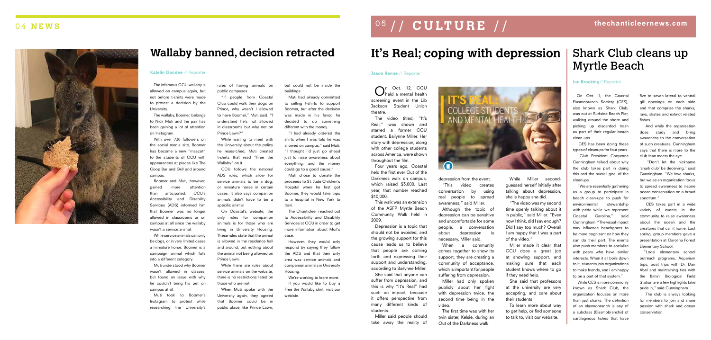# **It's Real; coping with depression**

 $\bigcap_{\text{held a mental health}}^{\text{n Oct.} 12, CCU}$ screening event in the Lib Jackson Student Union

theatre.

The video titled, "It's Real," was shown and starred a former CCU student, Bailynne Miller. Her story with depression, along with other college students across America, were shown throughout the film.

Four years ago, Coastal held the first ever Out of the Darkness walk on campus, which raised \$3,000. Last year, that number reached

\$10,000.

This walk was an extension of the ASFP Myrtle Beach Community Walk held in

2009.

Depression is a topic that should not be avoided, and the growing support for this cause leads us to believe that people are coming forth and expressing their support and understanding, according to Bailynne Miller. She said that anyone can suffer from depression, and this is why "It's Real" had such an impact, because it offers perspective from many different kinds of students.

Miller said people should take away the reality of



depression from the event.

"This video creates conversation by using real people to spread awareness," said Miller. Although the topic of depression can be sensitive and uncomfortable for some people, a conversation about depression is necessary, Miller said.

When a community comes together to show its support, they are creating a community of acceptance, which is important for people suffering from depression.

Miller had only spoken publicly about her fight with depression twice, the second time being in the video.

The first time was with her twin sister, Kelsie, during an Out of the Darkness walk.

# 0 5 / / **CULTURE** / / thechanticleernews.com

While Miller secondguessed herself initially after talking about depression, she is happy she did.

"The video was my second time openly talking about it in public," said Miller. "Even now I think, did I say enough? Did I say too much? Overall I am happy that I was a part of the video."

Miller made it clear that CCU does a great job at showing support, and making sure that each student knows where to go if they need help.

She said that professors at the university are very accepting, and care about their students.

To learn more about way to get help, or find someone to talk to, visit our website.

# Shark Club cleans up Myrtle Beach

### Ian Brooking// Reporter

On Oct. 1, the Coastal Elasmobranch Society (CES), also known as Shark Club, was out at Surfside Beach Pier, walking around the shore and picking up discarded trash as part of their regular beach clean-ups.

 CES has been doing these types of cleanups for four years.

 Club President Cheyenne Cunningham talked about why the club takes part in doing this and the overall goal of the cleanups.

 "We are essentially gathering as a group to participate in beach clean-ups to push for environmental stewardship with pride while we represent Coastal Carolina," said Cunningham. "The visual impact may influence beachgoers to be more cognizant on how they can do their part. The events also push members to socialize with peers who have similar interests. When it all boils down to it, students join organizations to make friends, and I am happy to be a part of that system."

 While CES is more commonly known as Shark Club, the organization focuses on more than just sharks. The definition of an elasmobranch is any of a subclass (Elasmobranchii) of cartilaginous fishes that have

five to seven lateral to ventral gill openings on each side and that comprise the sharks, rays, skates and extinct related fishes.

 And while the organization does study and bring awareness to the conversation of such creatures, Cunningham says that there is more to the club than meets the eye.

 "Don't let the nickname 'shark club' be deceiving," said Cunningham. "We love sharks, but we as an organization focus to spread awareness to inspire ocean conservation on a broad spectrum."

 CES takes part in a wide variety of events in the community to raise awareness about the ocean and the creatures that call it home. Last spring, group members gave a presentation at Carolina Forest Elementary School.

"Local elementary school outreach programs, Aquarium trips, boat trips with Dr. Dan Abel and maintaining ties with the Bimini Biological Field Station are a few highlights take pride in," said Cunningham.

 The club is always looking for members to join and share passion with shark and ocean conservation.

# 0 4 **NEWS**



# **Wallaby banned, decision retracted**

#### Katelin Gandee // Reporter

The infamous CCU wallaby is allowed on campus again, but not before t-shirts were made to protest a decision by the University.

The wallaby, Boomer, belongs to Nick Muti and the pair has been gaining a lot of attention on Instagram.

With over 730 followers on the social media site, Boomer has become a new "mascot" to the students of CCU with appearances at places like The Coop Bar and Grill and around campus.

Boomer and Muti, however, gained more attention than anticipated. CCU's Accessibility and Disability Services (ADS) informed him that Boomer was no longer allowed in classrooms or on campus at all since the wallaby wasn't a service animal.

While service animals can only be dogs, or in very limited cases a miniature horse, Boomer is a campaign animal which falls into a different category.

Muti understood why Boomer wasn't allowed in classes, but found an issue with why he couldn't bring his pet on campus at all.

Muti took to Boomer's Instagram to protest while researching the University's

rules of having animals on public campuses.

"If people from Coastal Club could walk their dogs on Prince, why wasn't I allowed to have Boomer," Muti said. "I understand he's not allowed in classrooms but why not on Prince Lawn?"

While waiting to meet with the University about the policy he researched, Muti created t-shirts that read "Free the Wallaby" on it.

CCU follows the national ADS rules, which allow for service animals to be a dog, or miniature horse in certain cases. It also says companion animals didn't have to be a specific animal.

On Coastal's website, the only rules for companion animals is for those who are living in University Housing. These rules state that the animal is allowed in the residence hall and around, but nothing about the animal not being allowed on Prince Lawn.

While there are rules about service animals on the website, there is no restrictions listed on those who are not.

When Muti spoke with the University again, they agreed that Boomer could be in public place, like Prince Lawn,

but could not be inside the buildings.

Muti had already committed to selling t-shirts to support Boomer, but after the decision was made in his favor, he decided to do something different with the money.

"I had already ordered the shirts when I was told he was allowed on campus," said Muti. "I thought I'd just go ahead just to raise awareness about everything, and the money could go to a good cause."

Muti chose to donate the proceeds to St. Jude Children's Hospital when he first got Boomer, they would take trips to a hospital in New York to train.

The Chanticleer reached out to Accessibility and Disability Services at CCU in order to get more information about Muit's case.

However, they would only respond by saying they follow the ADS and that their only area was service animals and companion animals in University Housing.

We're working to learn more. If you would like to buy a Free the Wallaby shirt, visit our webiste.

### Jason Renne // Reporter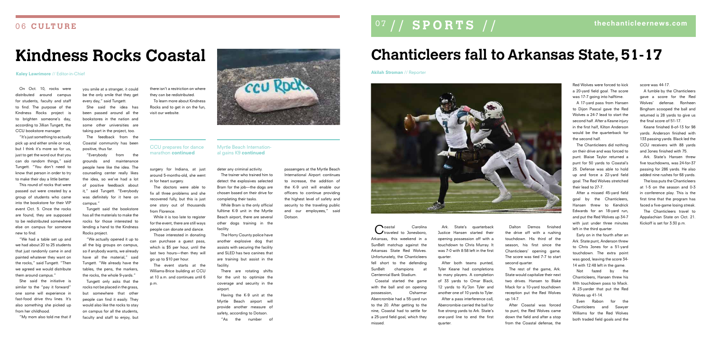# **Kindness Rocks Coastal**

#### Kaley Lawrimore // Editor-in-Chief

On Oct. 10, rocks were distributed around campus for students, faculty and staff to find. The purpose of the Kindness Rocks project is to brighten someone's day, according to Jillian Tungett, the CCU bookstore manager.

"It's just something to actually pick up and either smile or nod, but I think it's more so for us, just to get the word out that you can do random things," said Tungett. "You don't need to know that person in order to try to make their day a little better.

This round of rocks that were passed out were created by a group of students who came into the bookstore for their VIP event Oct. 5. Once the rocks are found, they are supposed to be redistributed somewhere else on campus for someone new to find.

"We had a table set up and we had about 20 to 25 students that just randomly came in and painted whatever they want on the rocks," said Tungett. "Then we agreed we would distribute them around campus."

She said the initiative is similar to the "pay it forward" one some will experience in fast-food drive thru lines. It's also something she picked up from her childhood.

"My mom also told me that if

you smile at a stranger, it could be the only smile that they get every day," said Tungett.

She said the idea has been passed around all the bookstores in the nation and some other universities are taking part in the project, too.

> Coastal Carolina<br>
> Ctraveled to Jonesboro, Arkansas, this weekend in a SunBelt matchup against the Arkansas State Red Wolves. Unfortunately, the Chanticleers fell short to the defending SunBelt champions at Centennial Bank Stadium.

The feedback from the Coastal community has been positive, thus far.

> Ark. State's quarterback Justice Hansen started their opening possession off with a touchdown to Chris Murray. It was 7-0 with 8:58 left in the first quarter.

"Everybody from the grounds and maintenance people here like the idea. The counseling center really likes the idea, so we've had a lot of positive feedback about it," said Tungett. "Everybody was definitely for it here on campus."

> Dalton Demos finished the drive off with a rushing touchdown. His third of the season, his first since the Chanticleers' opening game. The score was tied 7-7 to start second quarter.

Tungett said the bookstore has all the materials to make the rocks for those interested to lending a hand to the Kindness Rocks project.

"We actually opened it up to all the big groups on campus, so if anybody wants, we already have all the material," said Tungett. "We already have the tables, the pens, the markers, the rocks, the whole 9-yards."

Tungett only asks that the rocks not be placed in the grass, but somewhere that other people can find it easily. They would also like the rocks to stay on campus for all the students, faculty and staff to enjoy, but

there isn't a restriction on where they can be redistributed.

To learn more about Kindness Rocks and to get in on the fun, visit our website.



# **Chanticleers fall to Arkansas State, 51-17**

The loss puts the Chanticleers at 1-5 on the season and 0-3 in conference play. This is the first time that the program has faced a five-game losing streak.

Coastal started the game with the ball and on opening possession, Osharmar Abercrombie had a 55-yard run to the 20. After getting to the nine, Coastal had to settle for a 25-yard field goal, which they

surgery for Indiana, at just around 5-months-old, she went in for heart surgery.

missed.

Akilah Stroman // Reporter



After both teams punted, Tyler Keane had completions to many players. A completion of 33 yards to Omar Black, 12 yards to Ky'Jon Tyler and another one of 10 yards to Tyler. After a pass interference call, Abercrombie carried the ball for five strong yards to Ark. State's

one-yard line to end the first

quarter.

Myrtle Beach International gains K9 continued

> The rest of the game, Ark. State would capitalize their next two drives. Hansen to Blake Mack for a 10-yard touchdown reception put the Red Wolves up 14-7.

> After Coastal was forced to punt, the Red Wolves came down the field and after a stop from the Coastal defense, the

Red Wolves were forced to kick a 20-yard field goal. The score was 17-7 going into halftime.

A 17-yard pass from Hansen to Dijon Pascal gave the Red Wolves a 24-7 lead to start the second half. After a Keane injury in the first half, Kilton Anderson would be the quarterback for the second half.

The Chanticleers did nothing on their drive and was forced to punt. Blaise Taylor returned a punt for 50 yards to Coastal's 25. Defense was able to hold up and force a 22-yard field goal. The Red Wolves stretched their lead to 27-7.

After a missed 45-yard field goal by the Chanticleers, Hansen threw to Kendrick Edwards for an 18-yard run, and put the Red Wolves up 34-7 with just under three minutes left in the third quarter.

Early on in the fourth after an Ark. State punt, Anderson threw to Chris Jones for a 51-yard touchdown. The extra point was good, leaving the score 34- 14 with 12:48 left in the game.

Not fazed by the Chanticleers, Hansen threw his fifth touchdown pass to Mack. A 23-yarder that put the Red Wolves up 41-14.

Even Rabon for the Chanticleers and Sawyer Williams for the Red Wolves both traded field goals and the score was 44-17.

A fumble by the Chanticleers gave a score for the Red Wolves' defense. Ronheen Bingham scooped the ball and returned is 28 yards to give us the final score of 51-17.

Keane finished 8-of-13 for 98 yards. Anderson finished with 133 passing yards. Black led the CCU receivers with 88 yards and Jones finished with 75.

Ark. State's Hansen threw five touchdowns, was 24-for-37 passing for 286 yards. He also added nine rushes for 68 yards.

The Chanticleers travel to Appalachian State on Oct. 21. Kickoff is set for 3:30 p.m.

The doctors were able to fix all three problems and she recovered fully, but this is just one story out of thousands from Florence.

While it is too late to register for the event, there are still ways people can donate and dance.

Those interested in donating can purchase a guest pass, which is \$5 per hour, until the last two hours—then they will go up to \$10 per hour.

The event starts at the Williams-Brice building at CCU at 10 a.m. and continues until 6 p.m.

### CCU prepares for dance marathon continued

deter any criminal activity.

The trainer who trained him to detect the explosives selected Bram for the job—the dogs are chosen based on their drive for

completing their tasks.

While Bram is the only official fulltime K-9 unit in the Myrtle Beach airport, there are several other dogs training in the facility.

The Horry County police have another explosive dog that assists with securing the facility and SLED has two canines that are training but assist in the facility.

There are rotating shifts for the unit to optimize the coverage and security in the airport.

Having the K-9 unit at the Myrtle Beach airport will provide another measure of safety, according to Dotson.

"As the number of

passengers at the Myrtle Beach International Airport continues to increase, the addition of the K-9 unit will enable our officers to continue providing the highest level of safety and security to the traveling public and our employees," said Dotson.



# 0 7 / / **SPORTS** / / thechanticleernews.com 0 6 **CULTURE**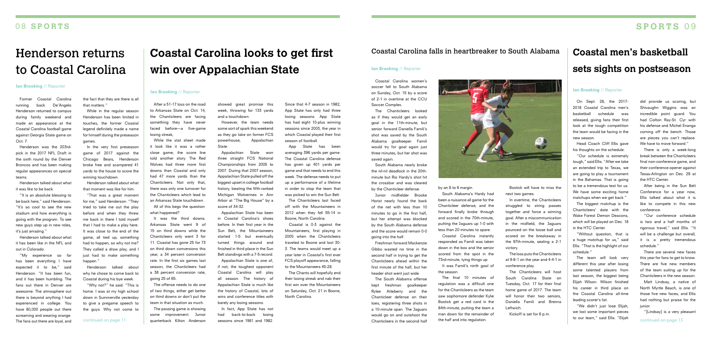# **SPORTS** 0 9

# **Coastal Carolina looks to get first win over Appalachian State**

### Ian Brooking // Reporter

After a 51-17 loss on the road to Arkansas State on Oct. 14, the Chanticleers are facing something they have never faced before—a five-game losing streak,

While the stat sheet made it look like it was a rather close game, the score line told another story. The Red Wolves had three more first downs than Coastal and only had 47 more yards than the Chanticleers. Not only that, there was only one turnover for the Chanticleers which lead to an Arkansas State touchdown.

The passing game is showing some improvement. Junior quarterback Kilton Anderson continued on page 11 **quarterback Kilton Anderson** seasons since 1981 and 1982. Chanticleers in the second half the half and into regulation. Chanticleers in the second half the half and into regulation.

All of this begs the question: what happened?

It was the third downs. Arkansas State went 9 of 15 on third downs while the Chanticleers only went 3 for 11. Coastal has gone 25 for 73 on third down conversions this year, a 34 percent conversion rate. In the first six games last season, the Chanticleers had a 38 percent conversion rate, going 25 of 65.

The offense needs to do one of two things, either get better on third downs or don't put the team in that situation as much.

showed great promise this week, throwing for 133 yards and a touchdown.

However, the team needs some sort of spark this weekend as they go take on former FCS powerhouse, Appalachian State.

Appalachian State won three straight FCS National Championships from 2005 to 2007. During that 2007 season, Appalachian State pulled off the biggest upset in college football history, beating the fifth-ranked Michigan Wolverines in Ann Arbor at "The Big House" by a score of 34-32.

Henderson was the 203rdpick in the 2017 NFL Draft in the sixth round by the Denver Broncos and has been making regular appearances on special teams

> Appalachian State has been in Coastal Carolina's shoes before. In their first year in the Sun Belt, the Mountaineers started 1-5 but eventually turned things around and finished in third place in the Sun Belt standings with a 7-5 record.

Appalachian State is one of, if not, the toughest opponent Coastal Carolina will play all season. The history of Appalachian State is much like the history of Coastal, lots of wins and conference titles with barely any losing seasons.

In fact, App State has not had back-to-back losing seasons since 1981 and 1982.

Since that 4-7 season in 1982, App State has only had three losing seasons. App State has had eight 10-plus winning seasons since 2003, the year in which Coastal played their first season of football.

App State has been averaging 396 yards per game. The Coastal Carolina defense has given up 401 yards per game and that needs to end this week. The defense needs to put up a performance of a lifetime in order to stop the team that was picked to win the Sun Belt.

The Chanticleers last faced off with the Mountaineers in 2012 when they fell 55-14 in Boone, North Carolina.

Coastal is 0-3 against the Mountaineers, first playing in 2005 when the Chanticleers traveled to Boone and lost 30- 3. The teams would meet up a year later in Coastal's first ever FCS playoff appearance, falling to the Mountaineers 45-28.

Freshman forward Mackenzie Gibbs wasted no time in the second half in trying to get the Chanticleers ahead within the first minute of the half, but her header shot went just wide.

The Chants will hopefully end their losing streak and nab their first win over the Mountaineers on Saturday, Oct. 21 in Boone, North Carolina.

# Henderson returns to Coastal Carolina

#### **Ian Brooking // Reporter**

Former Coastal Carolina running back De'Angelo Henderson returned to campus during family weekend and made an appearance at the Coastal Carolina football game against Georgia State game on Oct. 7.

Henderson talked about what it was like to be back.

"It is an absolute blessing to be back here," said Henderson. "It's so cool to see the new stadium and how everything is going with the program. To see new guys step up in new roles, it's just amazing."

Henderson talked about what it has been like in the NFL and out in Colorado.

"My experience so far has been everything I have expected it to be," said Henderson. "It has been fun, and it has been humbling. The fans out there in Denver are awesome. The atmosphere out there is beyond anything I had experienced in college. You have 80,000 people out there screaming and wearing orange. The fans out there are loyal, and

The biggest matchup is the Chanticleers' date with the Wake Forest Demon Deacons, which will be played on Dec. 18 in the HTC Center.

the fact that they are there is all that matters."

While in the regular season Henderson has been limited in touches, the former Coastal legend definitely made a name for himself during the preseason games.

did provide us scoring, but Shivaughn Wiggins was an incredible point guard. You had Colton Ray-St. Cyr with his defense and Michel Enanga coming off the bench. Those are pieces you can't replace. We have to move forward."

In the very first preseason game of 2017 against the Chicago Bears, Henderson broke free and scampered 41 yards to the house to score the winning touchdown.

Henderson talked about what that moment was like for him.

"That was a great moment for me," said Henderson. "They tried to take me out the play before and when they threw me back in there I told myself that I had to make a play here. It was close to the end of the game, all tied up, something had to happen, so why not me? They called a draw play, and I just had to make something happen."

Henderson talked about why he chose to come back to Coastal during his bye week.

"Why not?" he said. "This is home. I was at my high school down in Summerville yesterday to give a pregame speech to the guys. Why not come to

## Coastal Carolina falls in heartbreaker to South Alabama

#### Ian Brooking // Reporter

Coastal Carolina women's soccer fell to South Alabama on Sunday, Oct. 15 by a score of 2-1 in overtime at the CCU Soccer Complex.

The Chanticleers looked as if they would get an early goal in the 11th-minute, but senior forward Daniella Famili's shot was saved by the South Alabama goalkeeper. Famili would try for goal again just three minutes, but her shot was

saved again.

South Alabama nearly broke the nil-nil deadlock in the 20thminute but Rio Hardy's shot hit the crossbar and was cleared by the Chanticleer defense.

Junior midfielder Brooke Horist nearly found the back of the net with less than 10 minutes to go in the first half, but her attempt was blocked by the South Alabama defense and the score would remain 0-0 going into the half.

The South Alabama offense kept freshman goalkeeper Rylee Atteberry and the Chanticleer defense on their toes, registering three shots in a 10-minute span. The Jaguars would go on and outshoot the Chanticleers in the second half



#### by an 8 to 6 margin.

South Alabama's Hardy had been a nuisance all game for the Chanticleer defense, and the forward finally broke through and scored in the 70th-minute, putting the Jaguars up 1-0 with less than 20 minutes to spare.

Coastal Carolina instantly responded as Famili was taken down in the box and the senior scored from the spot in the 73rd-minute, tying things up.

It was Famili's ninth goal of the season.

The final 10 minutes of regulation was a difficult one for the Chanticleers as the team saw sophomore defender Kylie Bostick get a red card in the 84th-minute, putting the team a man down for the remainder of the half and into regulation.

Bostick will have to miss the next two games.

In overtime, the Chanticleers struggled to string passes together and force a winning goal. After a miscommunication in the midfield, the Jaguars pounced on the loose ball and scored on the breakaway in the 97th-minute, sealing a 2-1 victory.

The loss puts the Chanticleers at 9-6-1 on the year and 4-4-1 in conference play.

The Chanticleers will host South Carolina State on Tuesday, Oct. 17 for their final home game of 2017. The team will honor their two seniors, Daniella Famili and Brenna Leftwich.

Kickoff is set for 6 p.m.

# **Coastal men's basketball sets sights on postseason**

### Ian Brooking // Reporter

On Sept. 28, the 2017- 2018 Coastal Carolina men's basketball schedule was released, giving fans their first look at the tough competition the team would be facing in the new season.

Head Coach Cliff Ellis gave his thoughts on the schedule.

"Our schedule is extremely tough," said Ellis. "After we take an extended trip to Texas, we are going to play a tournament in the Bahamas. That is going to be a tremendous test for us. We have some exciting home matchups when we get back."

"Without question, that is a huge matchup for us," said Ellis. "That is the highlight of our schedule."

The team will look very different this year after losing some talented players from last season, the biggest being Elijah Wilson. Wilson finished his career in third place on the Coastal Carolina all-time leading scorer's list.

"We didn't just lose Elijah, we lost some important pieces to our team," said Ellis. "Elijah

There is only a week-long break between the Chanticleers final non-conference game, and their conference opener against Texas-Arlington on Dec. 29 at the HTC Center.

After being in the Sun Belt Conference for a year now, Ellis talked about what it is like to compete in this new conference.

"Our conference schedule is two and a half months of rigorous travel," said Ellis. "It will be a challenge but overall, it is a pretty tremendous schedule."

There are several new faces this year for fans to get to know. There are five new members of the team suiting up for the Chanticleers in the new season.

Matt Lindsay, a native of North Myrtle Beach, is one of those five new faces, and Ellis had nothing but praise for the junior.

"[Lindsay] is a very pleasant

## 0 8 **SPORTS**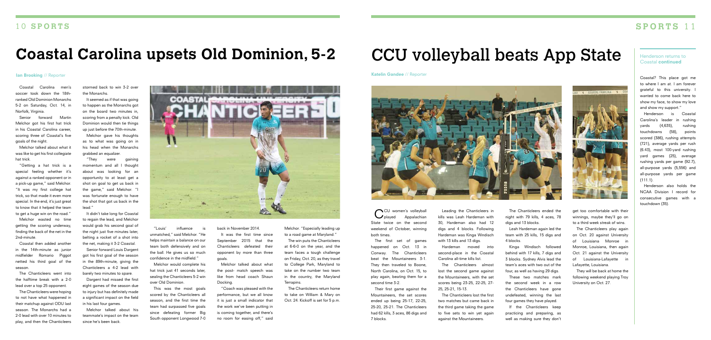CU women's volleyball<br>
Oplaved Appalachian Appalachian State twice on the second weekend of October, winning

both times.

The first set of games happened on Oct. 13 in Conway. The Chanticleers beat the Mountaineers 3-1. They then traveled to Boone, North Carolina, on Oct. 15, to play again, beating them for a second time 3-2.

Their first game against the Mountaineers, the set scores ended up being 25-17, 22-25, 25-20, 25-21. The Chanticleers had 62 kills, 3 aces, 86 digs and

7 blocks.



Leading the Chanticleers in kills was Leah Hardeman with 30, Hardeman also had 12 digs and 4 blocks. Following Hardeman was Kinga Windisch with 13 kills and 13 digs.

Hardeman moved into second-place in the Coastal Carolina all-time kills list.

The Chanticleers almost lost the second game against the Mountaineers, with the set scores being 23-25, 22-25, 27- 25, 25-21, 15-13.

The Chanticleers lost the first two matches but came back in the third game taking the game to five sets to win yet again against the Mountaineers.

The Chanticleers ended the night with 79 kills, 4 aces, 78 digs and 13 blocks.

Leah Hardeman again led the team with 25 kills, 15 digs and 4 blocks.

Kinga Windisch followed behind with 17 kills, 7 digs and 3 blocks. Sydney Alvis lead the team's aces with two out of the four, as well as having 29 digs.

These two matches mark the second week in a row the Chanticleers have gone undefeated, winning the last four games they have played.

If the Chanticleers keep practicing and preparing, as well as making sure they don't



get too comfortable with their winnings, maybe they'll go on to a third week streak of wins.

The Chanticleers play again on Oct. 20 against University of Louisiana Monroe in Monroe, Louisiana, then again Oct. 21 against the University of Louisiana-Lafayette in Lafayette, Louisiana.

They will be back at home the following weekend playing Troy University on Oct. 27.

# 1 0 **SPORTS SPORTS** 1 1

# **Coastal Carolina upsets Old Dominion, 5-2**

Coastal Carolina men's soccer took down the 18thranked Old Dominion Monarchs 5-2 on Saturday, Oct. 14, in Norfolk, Virginia.

Senior forward Martin Melchor got his first hat trick in his Coastal Carolina career, scoring three of Coastal's five goals of the night.

Melchor talked about what it was like to get his first collegiate hat trick.

> "Louis' influence unmatched," said Melchor. "He helps maintain a balance on our team both defensively and on back in November 2014.

"Getting a hat trick is a special feeling whether it's against a ranked opponent or in a pick-up game," said Melchor. "It was my first college hat trick, so that made it even more special. In the end, it's just great to know that it helped the team to get a huge win on the road."

Melchor wasted no time getting the scoring underway, finding the back of the net in the 2nd-minute.

Coastal then added another in the 14th-minute as junior midfielder Romario Piggot netted his third goal of the season.

The Chanticleers went into the halftime break with a 2-0 lead over a top 25 opponent.

**Katelin Gandee** // Reporter **Coastal?** This place got me to where I am at. I am forever grateful to this university. wanted to come back here to show my face, to show my love and show my support."

> Henderson is Coastal Carolina's leader in rushing yards (4,635), rushing touchdowns (58), points scored (386), rushing attempts (721), average yards per rush (6.43), most 100-yard rushing yard games (25), average rushing yards per game (92.7), all-purpose yards (5,556) and all-purpose yards per game  $(111.1)$ .

The Chanticleers were hoping to not have what happened in their matchup against ODU last season. The Monarchs had a 2-0 lead with over 10 minutes to play, and then the Chanticleers stormed back to win 3-2 over the Monarchs.

It seemed as if that was going to happen as the Monarchs got on the board two minutes in, scoring from a penalty kick. Old Dominion would then tie things up just before the 70th-minute.

Melchor gave his thoughts as to what was going on in his head when the Monarchs grabbed an equalizer.

"They were gaining momentum and all I thought about was looking for an opportunity to at least get a shot on goal to get us back in the game," said Melchor. "I was fortunate enough to have the shot that got us back in the lead."

It didn't take long for Coastal to regain the lead, and Melchor would grab his second goal of the night just five minutes later, belting a rocket of a shot into the net, making it 3-2 Coastal.

Senior forward Louis Dargent got his first goal of the season in the 89th-minute, giving the Chanticleers a 4-2 lead with barely two minutes to spare.

Dargent had missed the first eight games of the season due to injury but has definitely made a significant impact on the field in his last four games.

Melchor talked about his teammate's impact on the team since he's been back.

the ball. He gives us so much confidence in the midfield." Melchor would complete his hat trick just 41 seconds later, sealing the Chanticleers 5-2 win

over Old Dominion.

### **Ian Brooking // Reporter**

This was the most goals scored by the Chanticleers all season, and the first time the team had surpassed five goals since defeating former Big South opponent Longwood 7-0

It was the first time since September 2015 that the Chanticleers defeated their opponent by more than three goals.

Melchor talked about what the post- match speech was like from head coach Shaun Docking.

"Coach was pleased with the performance, but we all know it is just a small indicator that the work we've been putting in is coming together, and there's no room for easing off," said Melchor. "Especially leading up to a road game at Maryland."

The win puts the Chanticleers at 6-6-0 on the year, and the team faces a tough challenge on Friday, Oct. 20, as they travel to College Park, Maryland to take on the number two team in the country, the Maryland Terrapins.

The Chanticleers return home to take on William & Mary on Oct. 24. Kickoff is set for 5 p.m.



# CCU volleyball beats App State

Henderson also holds the NCAA Division I record for consecutive games with a touchdown (35).

### Henderson returns to Coastal continued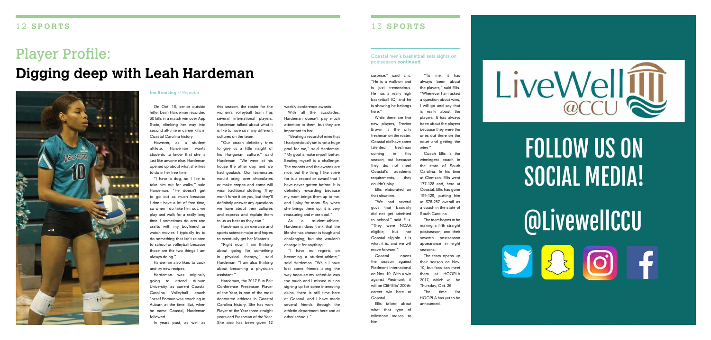# Player Profile: **Digging deep with Leah Hardeman**



On Oct. 13, senior outside hitter Leah Hardeman recorded 30 kills in a match win over App State, climbing her way into second all-time in career kills in Coastal Carolina history.

However, as a student athlete, Hardeman wants students to know that she is just like anyone else. Hardeman opened up about what she likes to do in her free time.

"I have a dog, so I like to take him out for walks," said Hardeman. "He doesn't get to go out as much because I don't have a lot of free time, so when I do take him out, we play and walk for a really long time. I sometimes do arts and crafts with my boyfriend or watch movies. I typically try to do something that isn't related to school or volleyball because those are the two things I am always doing."

Hardeman also likes to cook and try new recipes.

Hardeman was originally going to attend Auburn University, as current Coastal Carolina Volleyball coach Jozsef Forman was coaching at Auburn at the time. But, when he came Coastal, Hardeman followed.

Hardeman, the 2017 Sun Belt Conference Preseason Player of the Year, is one of the most decorated athletes in Coastal Carolina history. She has won Player of the Year three straight years and Freshman of the Year. She also has been given 12

In years past, as well as

#### Ian Brooking // Reporter

this season, the roster for the women's volleyball team has several international players. Hardeman talked about what it is like to have so many different cultures on the team.

"Our coach definitely tries to give us a little insight of his Hungarian culture," said Hardeman. "We were at his house the other day, and we had goulash. Our teammates would bring over chocolates or make crepes and some will wear traditional clothing. They won't force it on you, but they'll definitely answer any questions we have about their cultures and express and explain them to us as best as they can."

While there are five new players, Trevion Brown is the only freshman on the roster. Coastal did have some talented freshman coming in this season, but because they did not meet Coastal's academic requirements, they

Hardeman is an exercise and sports science major and hopes to eventually get her Master's.

"Right now, I am thinking about going for something in physical therapy," said Hardeman. "I am also thinking about becoming a physician assistant."

weekly conference awards.

With all the accolades, Hardeman doesn't pay much attention to them, but they are important to her.

"Beating a record of mine that I had previously set is not a huge goal for me," said Hardeman. "My goal is make myself better. Beating myself is a challenge. The records and the awards are nice, but the thing I like strive for is a record or award that I have never gotten before. It is definitely rewarding because my mom brings them up to me, and I play for mom. So, when she brings them up, it is very reassuring and more cool."

As a student-athlete, Hardeman does think that the life she has chosen is tough and challenging, but she wouldn't change it for anything.

"I have no regrets on becoming a student-athlete.' said Hardeman. "While I have lost some friends along the way because my schedule was too much and I missed out on signing up for some interesting clubs, there is still time here at Coastal, and I have made several friends through the athletic department here and at other schools."

## 1 3 **SPORTS**

surprise," said Ellis. "He is a walk-on and is just tremendous. He has a really high basketball IQ, and he is showing he belongs

here."

Ellis elaborated on "We had several guys that basically did not get admitted to school," said Ellis. "They were NCAA eligible, but not

couldn't play. that situation. Coastal eligible. It is move forward."

what it is, and we will Coastal opens

the season against Piedmont International on Nov. 10. With a win against Piedmont, it will be Cliff Ellis' 200thcareer win here at

Coastal. him.

Ellis talked about what that type of milestone means to

LiveWell  $@CC1$ 

> **FOLLOW US ON** SOCIAL MEDIA!

> **@LivewellCCU**

JA

"To me, it has always been about the players," said Ellis. "Whenever I am asked a question about wins, I will go and say that is really about the players. It has always been about the players because they were the ones out there on the court and getting the

Coach Ellis is the winningest coach in the state of South Carolina. In his time at Clemson, Ellis went 177-128 and, here at Coastal, Ellis has gone 199-129, putting him at 376-257 overall as a coach in the state of

South Carolina.

The team hopes to be making a fifth straight postseason, and their seventh postseason appearance in eight

seasons.

The team opens up their season on Nov. 10, but fans can meet them at HOOPLA 2017, which will be Thursday, Oct. 26. The time for HOOPLA has yet to be

announced.

### Coastal men's basketball sets sights on postseason continued

wins.'

# 1 2 **SPORTS**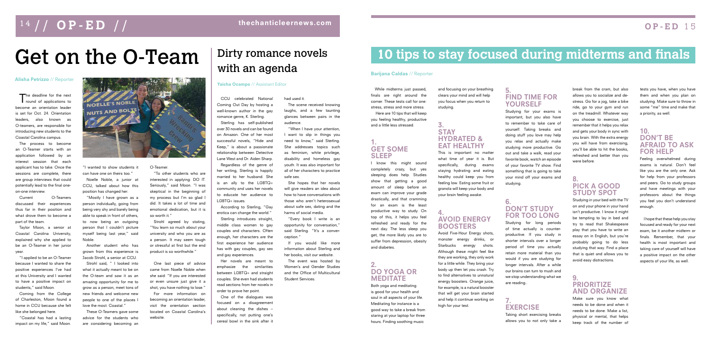The deadline for the next<br>
round of applications to become an orientation leader is set for Oct. 24. Orientation leaders, also known as O-teamers, are responsible for introducing new students to the Coastal Carolina campus.

The process to become an O-Teamer starts with an application followed by an interest session that each applicant has to take. Once the sessions are complete, there are group interviews that could potentially lead to the final oneon-one interview.

Current O-Teamers discussed their experiences thus far in their position and what drove them to become a part of the team.

Taylor Moon, a senior at Coastal Carolina University, explained why she applied to be an O-Teamer in her junior year.

"I applied to be an O-Teamer because I wanted to share the positive experiences I've had at this University and I wanted to have a positive impact on students," said Moon.

Coming from the College of Charleston, Moon found a home in CCU because she felt like she belonged here.

"Coastal has had a lasting impact on my life," said Moon.



"I wanted to show students it can have one on theirs too."

Noelle Noble, a junior at CCU, talked about how this position has changed her.

> Strohl agreed by stating, "You learn so much about your university and who you are as a person. It may seem tough or stressful at first but the end product is so worthwhile."

For more information on becoming an orientation leader, visit the orientation section located on Coastal Carolina's website

"Mostly I have grown as a person individually, going from being very shy and barely being able to speak in front of others, to now being an outgoing person that I couldn't picture myself being last year," said Noble.

Another student who has grown from this experience is Jacob Strohl, a senior at CCU.

Strohl said, " I looked into what it actually meant to be on the O-team and saw it as an amazing opportunity for me to grow as a person, meet tons of new friends and welcome new people to one of the places I love the most: Coastal."

These O-Teamers gave some advice for the students who are considering becoming an

# Get on the O-Team

#### Alisha Petrizzo // Reporter

# 1 4 / / **OP-ED** / / thechanticleernews.com

O-Teamer.

"To other students who are interested in applying: DO IT. Seriously," said Moon. "I was skeptical in the beginning of my process but I'm so glad I did. It takes a lot of time and emotional dedication, but it is so worth it."

One last piece of advice came from Noelle Noble when she said: "If you are interested or even unsure just give it a shot, you have nothing to lose."

CCU celebrated National Coming Out Day by hosting a well-known author in the gay romance genre, K. Sterling.

Sterling has self-published over 30 novels and can be found on Amazon. One of her most successful novels, "Hide and Keep," is about a passionate relationship between Detective Lane West and Dr. Aiden Sharp.

Regardless of the genre of her writing, Sterling is happily married to her husband. She is an ally to the LGBTQ+ community and uses her novels to educate her audience to LGBTQ+ issues.

According to Sterling, "Gay erotica can change the world."

## 5. FIND TIME FOR **YOURSELF**

Sterling introduces straight, middle class women to gay couples and characters. Often enough, her characters are the first experience her audience has with gay couples, gay sex and gay experiences.

Her novels are meant to emphasize the similarities between LGBTQ+ and straight couples. She even had students read sections from her novels in order to prove her point.

One of the dialogues was focused on a disagreement about cleaning the dishes – specifically, not putting one's cereal bowl in the sink after it

### Yaicha Ocampo // Assistant Editor

# Dirty romance novels with an agenda

### had used it.

The scene received knowing laughs, and a few taunting glances between pairs in the audience.

"When I have your attention, I want to slip in things you need to know," said Sterling. She addresses topics such as feminism, white privilege, disability and homeless gay youth. It was also important for all of her characters to practice safe sex.

She hopes that her novels will give readers an idea about how to have conversations with those who aren't heterosexual about safe sex, dating and the harms of social media.

"Every book I write is an opportunity for conversation," said Sterling. "It's a converception."

If you would like more information about Sterling and her books, visit our website.

The event was hosted by Women's and Gender Studies and the Office of Multicultural Student Services.

# **OP-ED** 1 5

While midterms just passed, finals are right around the corner. These tests call for one: stress, stress and more stress. Here are 10 tips that will keep you feeling healthy, productive and a little less stressed.

# GET SOME

# 1. SLEEP

I know this might sound completely crazy, but yes sleeping does help. Studies show that getting a good amount of sleep before an exam can improve your grade drastically, and that cramming for an exam is the least productive way to study. On top of this, it helps you feel refreshed and ready for the next day. The less sleep you get, the more likely you are to suffer from depression, obesity

and diabetes.

# 2.

### DO YOGA OR MEDITATE

Both yoga and meditating is good for your health and soul in all aspects of your life. Meditating for instance is a good way to take a break from staring at your laptop for three hours. Finding soothing music

and focusing on your breathing clears your mind and will help you focus when you return to studying.

## **STAY** HYDRATED & **EAT HEALTHY**<br>This is important no matter

3.

what time of year it is. But specifically, during exams staying hydrating and eating healthy could keep you from feeling low. Eating some fruit or granola will keep your body and your brain feeling awake.

## 4. AVOID ENERGY BOOSTERS

Avoid Five-Hour Energy shots, monster energy drinks, or Starbucks energy shots. Although these might feel like they are working, they only work for a little while. They bring your body up then let you crash. Try to find alternatives to unnatural energy boosters. Orange juice, for example, is a natural booster that will get your brain started and help it continue working on high for your test.

# **10 tips to stay focused during midterms and finals**

### Barijana Caldas // Reporter

Studying for your exams is important, but you also have to remember to take care of yourself. Taking breaks and doing stuff you love may help you relax and actually make studying more productive. Go out and take a walk, read your favorite book, watch an episode of your favorite TV show. Find something that is going to take your mind off your exams and studying.

## 6. DON'T STUDY FOR TOO LONG

Studying for long periods of time actually is counterproductive. If you study in shorter intervals over a longer period of time you actually retain more material than you would if you are studying for longer intervals. After a while our brains can turn to mush and we stop understanding what we are reading..

### 7. EXERCISE

Taking short exercising breaks allows you to not only take a break from the cram, but also allows you to socialize and destress. Go for a jog, take a bike ride, go to your gym and run on the treadmill. Whatever way you choose to exercise, just remember that it helps you relax and gets your body in sync with you brain. With the extra energy you will have from exercising, you'll be able to hit the books, refreshed and better than you were before.

## 8. PICK A GOOD STUDY SPOT

Studying in your bed with the TV on and your phone in your hand isn't productive. I know it might be tempting to lay in bed and try to read that Shakespeare play that you have to write an essay on in English, but you're probably going to do less studying that way. Find a place that is quiet and allows you to avoid easy distractions.

## 9. **PRIORITIZE** AND ORGANIZE

Make sure you know what needs to be done and when it needs to be done. Make a list, physical or mental, that helps keep track of the number of tests you have, when you have them and when you plan on studying. Make sure to throw in some "me" time and make that a priority, as well.

## 10. DON'T BE AFRAID TO ASK FOR HELP

Feeling overwhelmed during exams is natural. Don't feel like you are the only one. Ask for help from your professors and peers. Go to study groups and have meetings with your professors about the things you feel you don't understand enough.

I hope that these help you stay focused and ready for your next exam, be it another midterm or finals. Remember, that your health is most important and taking care of yourself will have a positive impact on the other aspects of your life, as well.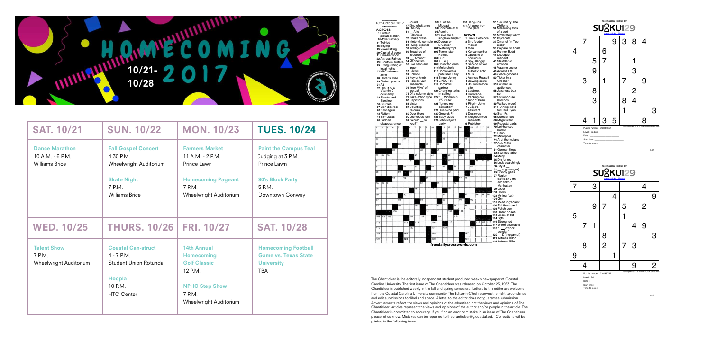

| <b>SAT. 10/21</b>                                                  | <b>SUN. 10/22</b>                                                                                                            | <b>MON. 10/23</b>                                                                                                                             | <b>TUES. 10/24</b>                                                                                                |  |  |
|--------------------------------------------------------------------|------------------------------------------------------------------------------------------------------------------------------|-----------------------------------------------------------------------------------------------------------------------------------------------|-------------------------------------------------------------------------------------------------------------------|--|--|
| <b>Dance Marathon</b><br>10 A.M. - 6 P.M.<br><b>Williams Brice</b> | <b>Fall Gospel Concert</b><br>$4:30$ P.M.<br>Wheelwright Auditorium<br><b>Skate Night</b><br>7 P.M.<br><b>Williams Brice</b> | <b>Farmers Market</b><br>11 A.M. - 2 P.M.<br>Prince Lawn<br><b>Homecoming Pageant</b><br>7 P.M.<br>Wheelwright Auditorium                     | <b>Paint the Campus Teal</b><br>Judging at 3 P.M.<br>Prince Lawn<br>90's Block Party<br>5 P.M.<br>Downtown Conway |  |  |
| <b>WED. 10/25</b>                                                  | <b>THURS. 10/26</b>                                                                                                          | <b>FRI. 10/27</b>                                                                                                                             | <b>SAT. 10/28</b>                                                                                                 |  |  |
| <b>Talent Show</b><br>7 P.M.<br>Wheelwright Auditorium             | <b>Coastal Can-struct</b><br>$4 - 7$ P.M.<br>Student Union Rotunda<br><b>Hoopla</b><br>10 P.M.<br><b>HTC Center</b>          | <b>14th Annual</b><br><b>Homecoming</b><br><b>Golf Classic</b><br>12 P.M.<br><b>NPHC Step Show</b><br>7 P.M.<br><b>Wheelwright Auditorium</b> | <b>Homecoming Football</b><br><b>Game vs. Texas State</b><br><b>University</b><br><b>TBA</b>                      |  |  |



The Chanticleer is the editorally independent student produced weekly newspaper of Coastal Carolina University. The first issue of The Chanticleer was released on October 23, 1963. The Chanticleer is published weekly in the fall and spring semesters. Letters to the editor are welcome from the Coastal Carolina University community. The Editor-in-Chief reserves the right to condense and edit submissions for libel and space. A letter to the editor does not quarantee submission. Advertisements reflect the views and opinions of the advertiser, not the views and opinions of The Chanticleer. Articles represent the views and opinions of the author and/or people in the article. The Chanticleer is committed to accuracy. If you find an error or mistake in an issue of The Chanticleer, please let us know. Mistakes can be reported to thechanticleer@g.coastal.edu. Corrections will be printed in the following issue.



|                                                                   | 7 |                |                | 9 | $\mathbf{3}$ | 8                        | 4 |   |
|-------------------------------------------------------------------|---|----------------|----------------|---|--------------|--------------------------|---|---|
| 4                                                                 |   |                | 6              |   |              |                          |   |   |
|                                                                   |   | 5              | $\overline{7}$ |   |              |                          |   |   |
|                                                                   |   | $\overline{9}$ |                |   |              | 3                        |   |   |
|                                                                   | 3 |                |                |   | 7            |                          | 9 |   |
|                                                                   |   | $\frac{8}{1}$  |                |   |              | $\overline{2}$           |   |   |
|                                                                   |   | $\overline{3}$ |                |   | 8            | $\overline{\mathcal{A}}$ |   |   |
|                                                                   |   |                |                |   |              |                          |   | 3 |
|                                                                   | 4 |                | 3              | 5 |              |                          | 8 |   |
| copyright @ 2017 by WWW.SUDOKU129.COM<br>Puzzle number: 793844657 |   |                |                |   |              |                          |   |   |

Level : Medium

Date:

Start time:

Time to solve :

p. 2



| 7                                                                 |                | 3 |                |   |   |   | 4              |                |
|-------------------------------------------------------------------|----------------|---|----------------|---|---|---|----------------|----------------|
|                                                                   |                |   |                | 4 |   |   |                | 9              |
|                                                                   |                | 9 | 7              |   | 5 |   | $\overline{2}$ |                |
| 5                                                                 |                |   |                |   |   |   |                |                |
|                                                                   | $\overline{7}$ |   |                |   |   | 4 | 9              |                |
|                                                                   |                |   | 8              |   |   |   |                | 3              |
|                                                                   | 8              |   | $\overline{2}$ |   | 7 | 3 |                |                |
| 9                                                                 |                |   |                |   |   |   |                |                |
|                                                                   | <u>∕l</u>      |   |                |   |   | 9 |                | $\overline{2}$ |
| copyright @ 2017 by WWW.SUDOKU129.COM<br>Puzzle number: 734499752 |                |   |                |   |   |   |                |                |

Level : Evil Date:

Start time:

Time to solve :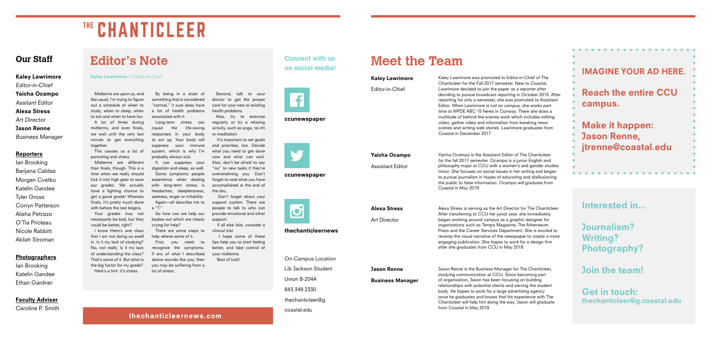# **Editor's Note**

Kaley Lawrimore // Editor-in-Chief

Midterms are upon us, and like usual, I'm trying to figure out a schedule of when to study, when to sleep, when to eat and when to have fun. A lot of times during midterms, and even finals, we wait until the very last minute to get everything together.

This causes us a lot of panicking and stress.

Midterms are different than finals, though. This is a time when we really should kick it into high gear to save our grades. We actually have a fighting chance to get a good grade! Whereas finals, it's pretty much done with before the test begins. Your grades may not

necessarily be bad, but they could be better, right?

I know there's one class that I am not doing so swell in. Is it my lack of studying? No, not really. Is it my lack of understanding the class? That's some of it. But what is the big factor for my grade? Here's a hint: it's stress.

# THE CHANTICLEER

# **Our Staff**

Kaley Lawrimore Editor-in-Chief Yaicha Ocampo Assitant Editor Alexa Stress Art Director Jason Renne

## Business Manager

### **Reporters**

Ian Brooking Barijana Caldas Morgen Cvetko Katelin Gandee Tyler Gross Corryn Patterson Alisha Petrizzo O'Tia Prioleau Nicole Rabbitt Akilah Stroman

### **Photographers**

Ian Brooking Katelin Gandee Ethan Gardner

### **Faculty Adviser**

Caroline P. Smith

It's important to set goals and priorities, too. Decide what you need to get done now and what can wait. Also, don't be afraid to say "no" to new tasks if they're overwhelming you. Don't forget to note what you have accomplished at the end of the day.

By being in a state of something that is considered "normal," it sure does have a lot of health problems associated with it.

Long-term stress can cause the life-saving responses in your body to act up. Your body will suppress your immune system, which is why I'm probably always sick.

It can suppress your digestion and sleep, as well. Some symptoms people experience when dealing with long-term stress is headaches, sleeplessness, sadness, anger or irritability. Again—all describe me to a "T."

So how can we help our bodies out which are clearly crying for help?

There are some steps to help relieve some of it.

First, you need to recognize the symptoms. If any of what I described above sounds like you, then you may be suffering from a lot of stress.

Second, talk to your doctor to get the proper care for your new or existing health problems.

Also, try to exercise regularly or try a relaxing activity, such as yoga, tai chi or meditation.

 Don't forget about your support system. There are people to talk to who can provide emotional and other support.

 If all else fails, consider a clinical trial.

 I hope some of these tips help you to start feeling better, and take control of your midterms. Best of luck!

### ccunewspaper



ccunewspaper



# thechanticleernews

**Connect with us on social media!**



On-Campus Location Lib Jackson Student Union B-204A 843.349.2330 thechanticleer@g.

coastal.edu

thechanticleernews.com

# **Meet the Team**

### Kaley Lawrimore

Editor-in-Chief

## Yaicha Ocampo Assistant Editor

Kaley Lawrimore was promoted to Editor-in-Chief of The Chanticleer for the Fall 2017 semester. New to Coastal, Lawrimore decided to join the paper as a reporter after deciding to pursue broadcast reporting in October 2015. After reporting for only a semester, she was promoted to Assistant Editor. When Lawrimore is not on campus, she works parttime at WPDE ABC 15 News in Conway. There she does a multitude of behind-the-scenes work which includes editing video, gather video and information from breaking news scenes and writing web stories. Lawrimore graduates from Coastal in December 2017

Alexa Stress Art Director Alexa Stress is serving as the Art Director for The Chanticleer. After transferring to CCU her junior year, she immediately began working around campus as a graphic designer for organizations such as Tempo Magazine, The Athenaeum Press and the Career Services Department. She is excited to revamp the visual narrative of the newspaper to create a more engaging publication. She hopes to work for a design firm after she graduates from CCU in May 2018.

Yaicha Ocampo is the Assistant Editor of The Chanticleer for the fall 2017 semester. Ocampo is a junior English and philosophy major at CCU with a women's and gender studies minor. She focuses on social issues in her writing and began to pursue journalism in hopes of educating and disillusioning the public to false information. Ocampo will graduate from Coastal in May 2019.

Jason Renne Business Manager Jason Renne is the Business Manager for The Chanticleer, studying communication at CCU. Since becoming part of organization, Jason has been focusing on building relationships with potential clients and serving the student body. He hopes to work for a large advertising agency once he graduates and knows that his experience with The Chanticleer will help him along the way. Jason will graduate from Coastal in May 2019.

Interested in...

Journalism? Writing? Photography?

Join the team!

Get in touch: thechanticleer@g.coastal.edu

| <b>IMAGINE YOUR AD HERE.</b>                                         |
|----------------------------------------------------------------------|
| <b>Reach the entire CCU</b><br>campus.                               |
| <b>Make it happen:</b><br><b>Jason Renne,</b><br>jtrenne@coastal.edu |
|                                                                      |